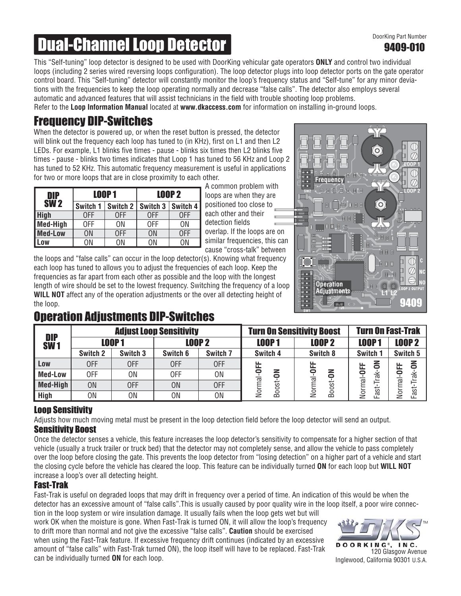## 9409-010

# **Dual-Channel Loop Detector Detector Description Research Part Number**

This "Self-tuning" loop detector is designed to be used with DoorKing vehicular gate operators **ONLY** and control two individual loops (including 2 series wired reversing loops configuration). The loop detector plugs into loop detector ports on the gate operator control board. This "Self-tuning" detector will constantly monitor the loop's frequency status and "Self-tune" for any minor deviations with the frequencies to keep the loop operating normally and decrease "false calls". The detector also employs several automatic and advanced features that will assist technicians in the field with trouble shooting loop problems. Refer to the **Loop Information Manual** located at **www.dkaccess.com** for information on installing in-ground loops.

### Frequency DIP-Switches

When the detector is powered up, or when the reset button is pressed, the detector will blink out the frequency each loop has tuned to (in KHz), first on L1 and then L2 LEDs. For example, L1 blinks five times - pause - blinks six times then L2 blinks five times - pause - blinks two times indicates that Loop 1 has tuned to 56 KHz and Loop 2 has tuned to 52 KHz. This automatic frequency measurement is useful in applications for two or more loops that are in close proximity to each other.

| DIP            |          | <b>LOOP1</b> | <b>LOOP 2</b> |          |  |
|----------------|----------|--------------|---------------|----------|--|
| <b>SW2</b>     | Switch 1 | Switch 2     | Switch 3      | Switch 4 |  |
| <b>High</b>    | 0FF      | 0FF          | 0FF           | 0FF      |  |
| Med-High       | 0FF      | 0N           | 0FF           | ΟN       |  |
| <b>Med-Low</b> | ΟN       | 0FF          | ON            | 0FF      |  |
| Low            | ΟN       | ΟN           | ΟN            | ΟN       |  |

A common problem with loops are when they are positioned too close to each other and their detection fields overlap. If the loops are on similar frequencies, this can cause "cross-talk" between

the loops and "false calls" can occur in the loop detector(s). Knowing what frequency each loop has tuned to allows you to adjust the frequencies of each loop. Keep the frequencies as far apart from each other as possible and the loop with the longest length of wire should be set to the lowest frequency. Switching the frequency of a loop **WILL NOT** affect any of the operation adjustments or the over all detecting height of the loop.



## Operation Adjustments DIP-Switches

| <b>DIP</b><br><b>SW1</b> | <b>Adjust Loop Sensitivity</b> |           |                |                     | <b>Turn On Sensitivity Boost</b> |                                           | <b>Turn On Fast-Trak</b>         |                         |
|--------------------------|--------------------------------|-----------|----------------|---------------------|----------------------------------|-------------------------------------------|----------------------------------|-------------------------|
|                          | <b>LOOP1</b>                   |           | <b>LOOP 2</b>  |                     | <b>LOOP1</b>                     | <b>LOOP 2</b>                             | <b>LOOP1</b>                     | <b>LOOP 2</b>           |
|                          | Switch 2                       | Switch 3  | Switch 6       | Switch <sub>7</sub> | Switch 4                         | Switch 8                                  | Switch 1                         | Switch 5                |
| Low                      | 0FF                            | 0FF       | <b>OFF</b>     | <b>OFF</b>          | Ë<br>z<br>Normal-<br>Boost-      | <b>LL</b><br>z<br>Ģ<br><u>ਕ</u><br>Boost- | z<br><b>UFF</b>                  | る<br>ட                  |
| <b>Med-Low</b>           | 0FF                            | 0N        | 0FF            | 0N                  |                                  |                                           | $\checkmark$<br>ಹ<br>Normal<br>ಕ | 등<br>⊰⊾<br>⊼<br>Normal- |
| Med-High                 | <b>ON</b>                      | 0FF       | <b>ON</b>      | 0FF                 |                                  |                                           |                                  |                         |
| <b>High</b>              | 0N                             | <b>ON</b> | 0 <sub>N</sub> | ΟN                  |                                  | ੋ<br>ż                                    | Ĕ                                | Fast-                   |

#### Loop Sensitivity

Adjusts how much moving metal must be present in the loop detection field before the loop detector will send an output.

#### Sensitivity Boost

Once the detector senses a vehicle, this feature increases the loop detector's sensitivity to compensate for a higher section of that vehicle (usually a truck trailer or truck bed) that the detector may not completely sense, and allow the vehicle to pass completely over the loop before closing the gate. This prevents the loop detector from "losing detection" on a higher part of a vehicle and start the closing cycle before the vehicle has cleared the loop. This feature can be individually turned **ON** for each loop but **WILL NOT** increase a loop's over all detecting height.

#### Fast-Trak

Fast-Trak is useful on degraded loops that may drift in frequency over a period of time. An indication of this would be when the detector has an excessive amount of "false calls".This is usually caused by poor quality wire in the loop itself, a poor wire connec-

tion in the loop system or wire insulation damage. It usually fails when the loop gets wet but will work OK when the moisture is gone. When Fast-Trak is turned ON, it will allow the loop's frequency to drift more than normal and not give the excessive "false calls". **Caution** should be exercised when using the Fast-Trak feature. If excessive frequency drift continues (indicated by an excessive amount of "false calls" with Fast-Trak turned ON), the loop itself will have to be replaced. Fast-Trak can be individually turned **ON** for each loop.



120 Glasgow Avenue Inglewood, California 90301 U.S.A.